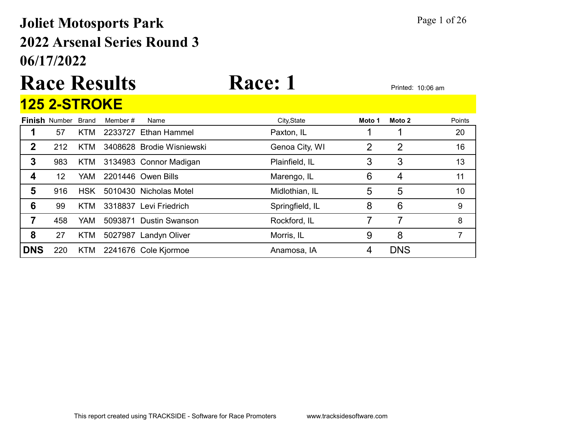### 06/17/2022 2022 Arsenal Series Round 3 Joliet Motosports Park Page 1 of 26

# Race Results Race: 1 Printed: 10:06 am

|            | <b>125 2-STROKE</b>  |              |         |                           |                 |        |                |        |
|------------|----------------------|--------------|---------|---------------------------|-----------------|--------|----------------|--------|
|            | <b>Finish Number</b> | <b>Brand</b> | Member# | Name                      | City, State     | Moto 1 | Moto 2         | Points |
|            | 57                   | <b>KTM</b>   |         | 2233727 Ethan Hammel      | Paxton, IL      |        |                | 20     |
| 2          | 212                  | KTM          |         | 3408628 Brodie Wisniewski | Genoa City, WI  | 2      | $\overline{2}$ | 16     |
| 3          | 983                  | KTM          |         | 3134983 Connor Madigan    | Plainfield, IL  | 3      | 3              | 13     |
| 4          | 12                   | YAM.         |         | 2201446 Owen Bills        | Marengo, IL     | 6      | 4              | 11     |
| 5          | 916                  | <b>HSK</b>   |         | 5010430 Nicholas Motel    | Midlothian, IL  | 5      | 5              | 10     |
| 6          | 99                   | <b>KTM</b>   |         | 3318837 Levi Friedrich    | Springfield, IL | 8      | 6              | 9      |
|            | 458                  | YAM.         | 5093871 | <b>Dustin Swanson</b>     | Rockford, IL    |        | 7              | 8      |
| 8          | 27                   | <b>KTM</b>   |         | 5027987 Landyn Oliver     | Morris, IL      | 9      | 8              | 7      |
| <b>DNS</b> | 220                  | KTM          |         | 2241676 Cole Kjormoe      | Anamosa, IA     | 4      | <b>DNS</b>     |        |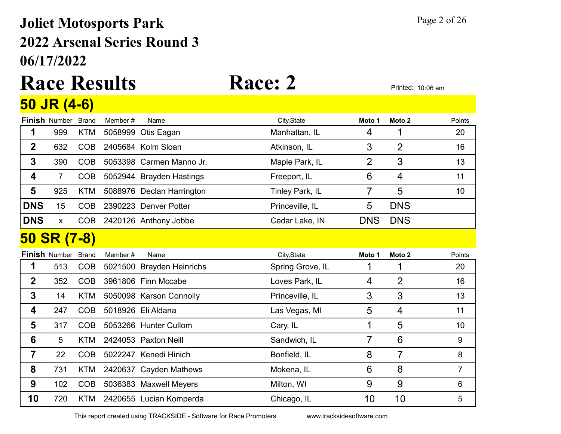## 06/17/2022 2022 Arsenal Series Round 3 Joliet Motosports Park Page 2 of 26

### Race Results Race: 2 Printed: 10:06 am 50 JR (4-6)

| <b>Finish Number</b> | <b>Brand</b> | Member#                           | Name | City, State                                                                                                                                                                                                                                                                                                                                                                                                                                   | Moto 1         | Moto <sub>2</sub> | Points         |
|----------------------|--------------|-----------------------------------|------|-----------------------------------------------------------------------------------------------------------------------------------------------------------------------------------------------------------------------------------------------------------------------------------------------------------------------------------------------------------------------------------------------------------------------------------------------|----------------|-------------------|----------------|
| 999                  | <b>KTM</b>   |                                   |      | Manhattan, IL                                                                                                                                                                                                                                                                                                                                                                                                                                 | 4              | 1                 | 20             |
| 632                  | <b>COB</b>   |                                   |      | Atkinson, IL                                                                                                                                                                                                                                                                                                                                                                                                                                  | 3              | $\overline{2}$    | 16             |
| 390                  | <b>COB</b>   |                                   |      | Maple Park, IL                                                                                                                                                                                                                                                                                                                                                                                                                                | $\overline{2}$ | 3                 | 13             |
| $\overline{7}$       | <b>COB</b>   |                                   |      | Freeport, IL                                                                                                                                                                                                                                                                                                                                                                                                                                  | 6              | 4                 | 11             |
| 925                  | <b>KTM</b>   |                                   |      | Tinley Park, IL                                                                                                                                                                                                                                                                                                                                                                                                                               | 7              | 5                 | 10             |
| 15                   | <b>COB</b>   |                                   |      | Princeville, IL                                                                                                                                                                                                                                                                                                                                                                                                                               | 5              | <b>DNS</b>        |                |
| $\pmb{\mathsf{X}}$   | <b>COB</b>   |                                   |      | Cedar Lake, IN                                                                                                                                                                                                                                                                                                                                                                                                                                | <b>DNS</b>     | <b>DNS</b>        |                |
|                      |              |                                   |      |                                                                                                                                                                                                                                                                                                                                                                                                                                               |                |                   |                |
| <b>Finish Number</b> | <b>Brand</b> | Member#                           | Name | City, State                                                                                                                                                                                                                                                                                                                                                                                                                                   | Moto 1         | Moto <sub>2</sub> | Points         |
| 513                  | <b>COB</b>   |                                   |      | Spring Grove, IL                                                                                                                                                                                                                                                                                                                                                                                                                              |                | 1                 | 20             |
| 352                  | <b>COB</b>   |                                   |      | Loves Park, IL                                                                                                                                                                                                                                                                                                                                                                                                                                | 4              | $\overline{2}$    | 16             |
| 14                   | <b>KTM</b>   |                                   |      | Princeville, IL                                                                                                                                                                                                                                                                                                                                                                                                                               | 3              | 3                 | 13             |
| 247                  | <b>COB</b>   |                                   |      | Las Vegas, MI                                                                                                                                                                                                                                                                                                                                                                                                                                 | 5              | 4                 | 11             |
| 317                  | <b>COB</b>   |                                   |      | Cary, IL                                                                                                                                                                                                                                                                                                                                                                                                                                      |                | 5                 | 10             |
| $5\phantom{.0}$      | <b>KTM</b>   |                                   |      | Sandwich, IL                                                                                                                                                                                                                                                                                                                                                                                                                                  | 7              | 6                 | 9              |
| 22                   | <b>COB</b>   |                                   |      | Bonfield, IL                                                                                                                                                                                                                                                                                                                                                                                                                                  | 8              | 7                 | 8              |
| 731                  | <b>KTM</b>   |                                   |      | Mokena, IL                                                                                                                                                                                                                                                                                                                                                                                                                                    | 6              | 8                 | $\overline{7}$ |
| 102                  | <b>COB</b>   |                                   |      | Milton, WI                                                                                                                                                                                                                                                                                                                                                                                                                                    | 9              | 9                 | 6              |
| 720                  | <b>KTM</b>   |                                   |      | Chicago, IL                                                                                                                                                                                                                                                                                                                                                                                                                                   | 10             | 10                | 5              |
|                      |              | <u>JU JK (4-0)</u><br>50 SR (7-8) |      | 5058999 Otis Eagan<br>2405684 Kolm Sloan<br>5053398 Carmen Manno Jr.<br>5052944 Brayden Hastings<br>5088976 Declan Harrington<br>2390223 Denver Potter<br>2420126 Anthony Jobbe<br>5021500 Brayden Heinrichs<br>3961806 Finn Mccabe<br>5050098 Karson Connolly<br>5018926 Eli Aldana<br>5053266 Hunter Cullom<br>2424053 Paxton Neill<br>5022247 Kenedi Hinich<br>2420637 Cayden Mathews<br>5036383 Maxwell Meyers<br>2420655 Lucian Komperda |                |                   |                |

This report created using TRACKSIDE - Software for Race Promoters www.tracksidesoftware.com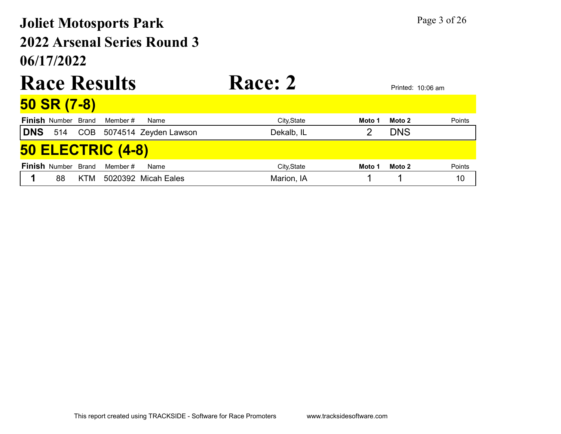## 06/17/2022 2022 Arsenal Series Round 3 Joliet Motosports Park Page 3 of 26

|                          |                            |     | <b>Race Results</b> |                           | <b>Race: 2</b> |        |            | Printed: 10:06 am |  |  |
|--------------------------|----------------------------|-----|---------------------|---------------------------|----------------|--------|------------|-------------------|--|--|
|                          | 50 SR (7-8)                |     |                     |                           |                |        |            |                   |  |  |
|                          | <b>Finish Number Brand</b> |     | Member #            | Name                      | City, State    | Moto 1 | Moto 2     | Points            |  |  |
| <b>DNS</b> 514           |                            |     |                     | COB 5074514 Zeyden Lawson | Dekalb, IL     | 2      | <b>DNS</b> |                   |  |  |
| <b>50 ELECTRIC (4-8)</b> |                            |     |                     |                           |                |        |            |                   |  |  |
|                          | <b>Finish Number Brand</b> |     | Member#             | Name                      | City, State    | Moto 1 | Moto 2     | Points            |  |  |
|                          | 88                         | KTM |                     | 5020392 Micah Eales       | Marion, IA     |        |            | 10                |  |  |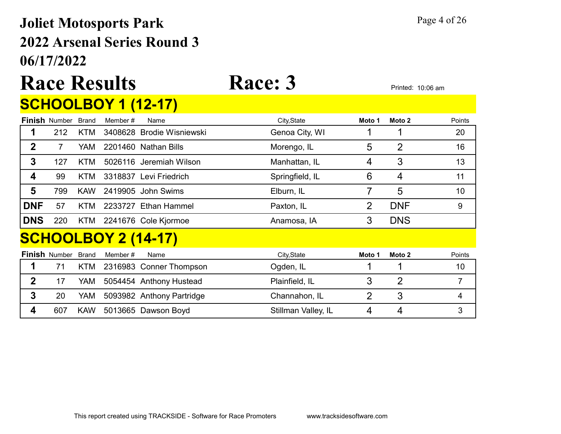## 06/17/2022 2022 Arsenal Series Round 3 Joliet Motosports Park Page 4 of 26

# Race Results Race: 3 Printed: 10:06 am

## **SCHOOLBOY 1 (12-17)**

|             | <b>Finish Number</b> | Brand        | Member# | Name                       | City, State         | Moto 1         | Moto 2         | Points |
|-------------|----------------------|--------------|---------|----------------------------|---------------------|----------------|----------------|--------|
|             | 212                  | KTM          |         | 3408628 Brodie Wisniewski  | Genoa City, WI      |                |                | 20     |
| $\mathbf 2$ | $\overline{7}$       | <b>YAM</b>   |         | 2201460 Nathan Bills       | Morengo, IL         | 5              | $\overline{2}$ | 16     |
| 3           | 127                  | KTM          |         | 5026116 Jeremiah Wilson    | Manhattan, IL       | 4              | 3              | 13     |
| 4           | 99                   | KTM          |         | 3318837 Levi Friedrich     | Springfield, IL     | 6              | 4              | 11     |
| 5           | 799                  | <b>KAW</b>   |         | 2419905 John Swims         | Elburn, IL          | 7              | 5              | 10     |
| <b>DNF</b>  | 57                   | KTM          |         | 2233727 Ethan Hammel       | Paxton, IL          | 2              | <b>DNF</b>     | 9      |
| <b>DNS</b>  | 220                  | KTM          |         | 2241676 Cole Kjormoe       | Anamosa, IA         | 3              | <b>DNS</b>     |        |
|             |                      |              |         | <b>SCHOOLBOY 2 (14-17)</b> |                     |                |                |        |
|             | <b>Finish Number</b> | <b>Brand</b> | Member# | Name                       | City, State         | Moto 1         | Moto 2         | Points |
| 1           | 71                   | KTM          |         | 2316983 Conner Thompson    | Ogden, IL           |                |                | 10     |
| $\mathbf 2$ | 17                   | YAM          |         | 5054454 Anthony Hustead    | Plainfield, IL      | 3              | $\overline{2}$ | 7      |
| 3           | 20                   | YAM          |         | 5093982 Anthony Partridge  | Channahon, IL       | $\overline{2}$ | 3              | 4      |
| 4           | 607                  | <b>KAW</b>   |         | 5013665 Dawson Boyd        | Stillman Valley, IL | 4              | 4              | 3      |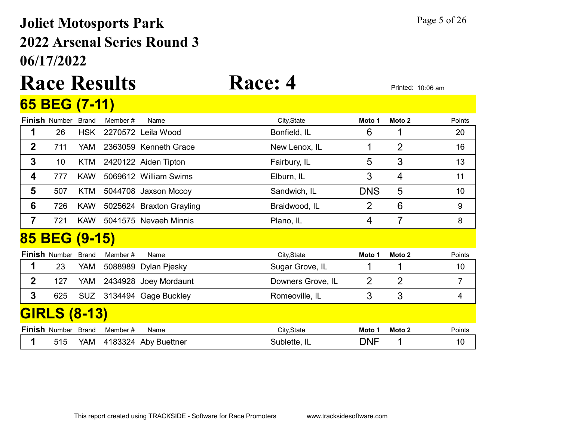### 06/17/2022 2022 Arsenal Series Round 3 Joliet Motosports Park Page 5 of 26

### Race Results Race: 4 65 BEG (7-11)

|                | <u>UU DLU (1-11)</u>       |              |         |                          |                   |                |                |                 |
|----------------|----------------------------|--------------|---------|--------------------------|-------------------|----------------|----------------|-----------------|
|                | <b>Finish Number Brand</b> |              | Member# | Name                     | City, State       | Moto 1         | Moto 2         | Points          |
| 1              | 26                         | <b>HSK</b>   |         | 2270572 Leila Wood       | Bonfield, IL      | 6              | 1              | 20              |
| $\overline{2}$ | 711                        | YAM          |         | 2363059 Kenneth Grace    | New Lenox, IL     | 1              | $\overline{2}$ | 16              |
| 3              | 10 <sup>°</sup>            | KTM          |         | 2420122 Aiden Tipton     | Fairbury, IL      | 5              | 3              | 13              |
| 4              | 777                        | <b>KAW</b>   |         | 5069612 William Swims    | Elburn, IL        | 3              | 4              | 11              |
| 5              | 507                        | KTM          |         | 5044708 Jaxson Mccoy     | Sandwich, IL      | <b>DNS</b>     | 5              | 10              |
| 6              | 726                        | <b>KAW</b>   |         | 5025624 Braxton Grayling | Braidwood, IL     | $\overline{2}$ | 6              | 9               |
| 7              | 721                        | <b>KAW</b>   |         | 5041575 Nevaeh Minnis    | Plano, IL         | 4              | 7              | 8               |
|                | 85 BEG (9-15)              |              |         |                          |                   |                |                |                 |
|                | <b>Finish Number</b>       | <b>Brand</b> | Member# | Name                     | City, State       | Moto 1         | Moto 2         | Points          |
| 1              | 23                         | YAM          |         | 5088989 Dylan Pjesky     | Sugar Grove, IL   | 1              | 1              | 10 <sup>°</sup> |
| $\overline{2}$ | 127                        | YAM          |         | 2434928 Joey Mordaunt    | Downers Grove, IL | 2              | $\overline{2}$ | $\overline{7}$  |
| $\mathbf{3}$   | 625                        | <b>SUZ</b>   |         | 3134494 Gage Buckley     | Romeoville, IL    | 3              | 3              | $\overline{4}$  |
|                | <b>GIRLS (8-13)</b>        |              |         |                          |                   |                |                |                 |
|                | <b>Finish Number Brand</b> |              | Member# | Name                     | City, State       | Moto 1         | Moto 2         | Points          |

1 515 YAM 4183324 Aby Buettner Sublette, IL DNF 1 10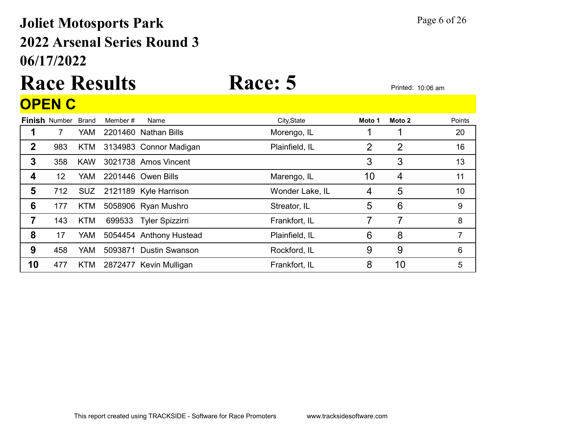## 06/17/2022 2022 Arsenal Series Round 3 Joliet Motosports Park Page 6 of 26

## Race Results Race: 5 Printed: 10:06 am OPEN C

|             | <b>Finish Number Brand</b> |            | Member # | Name                      | City, State     | Moto 1         | Moto 2         | Points |
|-------------|----------------------------|------------|----------|---------------------------|-----------------|----------------|----------------|--------|
| 1           |                            | <b>YAM</b> |          | 2201460 Nathan Bills      | Morengo, IL     |                |                | 20     |
| $\mathbf 2$ | 983                        | KTM        |          | 3134983 Connor Madigan    | Plainfield, IL  | $\overline{2}$ | $\overline{2}$ | 16     |
| 3           | 358                        | <b>KAW</b> |          | 3021738 Amos Vincent      |                 | 3              | 3              | 13     |
| 4           | 12                         | <b>YAM</b> |          | 2201446 Owen Bills        | Marengo, IL     | 10             | 4              | 11     |
| 5           | 712                        |            |          | SUZ 2121189 Kyle Harrison | Wonder Lake, IL | 4              | 5              | 10     |
| 6           | 177                        | KTM        |          | 5058906 Ryan Mushro       | Streator, IL    | 5              | 6              | 9      |
| 7           | 143                        | <b>KTM</b> |          | 699533 Tyler Spizzirri    | Frankfort, IL   |                | 7              | 8      |
| 8           | 17                         | YAM        |          | 5054454 Anthony Hustead   | Plainfield, IL  | 6              | 8              | 7      |
| 9           | 458                        | <b>YAM</b> |          | 5093871 Dustin Swanson    | Rockford, IL    | 9              | 9              | 6      |
| 10          | 477                        | <b>KTM</b> |          | 2872477 Kevin Mulligan    | Frankfort, IL   | 8              | 10             | 5      |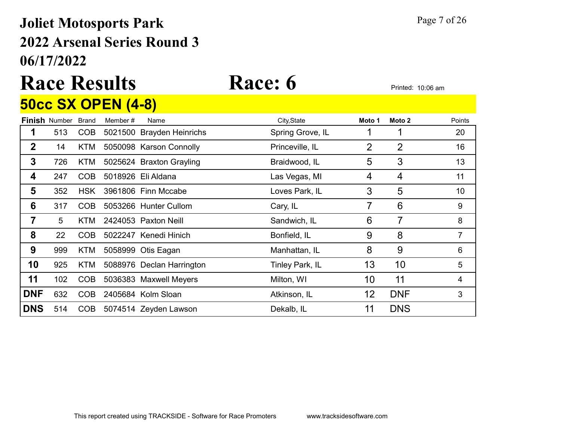### 06/17/2022 2022 Arsenal Series Round 3 Joliet Motosports Park Page 7 of 26

### Race Results Race: 6 Printed: 10:06 am 50cc SX OPEN (4-8)

|                |                      |              | <u>JUUL JA UF LIV (4"U)</u> |                           |                  |                |                |        |
|----------------|----------------------|--------------|-----------------------------|---------------------------|------------------|----------------|----------------|--------|
|                | <b>Finish Number</b> | <b>Brand</b> | Member#                     | Name                      | City, State      | Moto 1         | Moto 2         | Points |
| 1              | 513                  | <b>COB</b>   |                             | 5021500 Brayden Heinrichs | Spring Grove, IL |                |                | 20     |
| $\overline{2}$ | 14                   | <b>KTM</b>   |                             | 5050098 Karson Connolly   | Princeville, IL  | $\overline{2}$ | $\overline{2}$ | 16     |
| $\mathbf{3}$   | 726                  | <b>KTM</b>   |                             | 5025624 Braxton Grayling  | Braidwood, IL    | 5              | 3              | 13     |
| 4              | 247                  | <b>COB</b>   |                             | 5018926 Eli Aldana        | Las Vegas, MI    | 4              | 4              | 11     |
| 5              | 352                  | <b>HSK</b>   |                             | 3961806 Finn Mccabe       | Loves Park, IL   | 3              | 5              | 10     |
| 6              | 317                  | <b>COB</b>   |                             | 5053266 Hunter Cullom     | Cary, IL         | 7              | 6              | 9      |
| 7              | 5                    | KTM.         |                             | 2424053 Paxton Neill      | Sandwich, IL     | 6              | $\overline{7}$ | 8      |
| 8              | 22                   | <b>COB</b>   |                             | 5022247 Kenedi Hinich     | Bonfield, IL     | 9              | 8              | 7      |
| 9              | 999                  | KTM          |                             | 5058999 Otis Eagan        | Manhattan, IL    | 8              | 9              | 6      |
| 10             | 925                  | <b>KTM</b>   |                             | 5088976 Declan Harrington | Tinley Park, IL  | 13             | 10             | 5      |
| 11             | 102                  | <b>COB</b>   |                             | 5036383 Maxwell Meyers    | Milton, WI       | 10             | 11             | 4      |
| <b>DNF</b>     | 632                  | <b>COB</b>   |                             | 2405684 Kolm Sloan        | Atkinson, IL     | 12             | <b>DNF</b>     | 3      |
| <b>DNS</b>     | 514                  | <b>COB</b>   |                             | 5074514 Zeyden Lawson     | Dekalb, IL       | 11             | <b>DNS</b>     |        |
|                |                      |              |                             |                           |                  |                |                |        |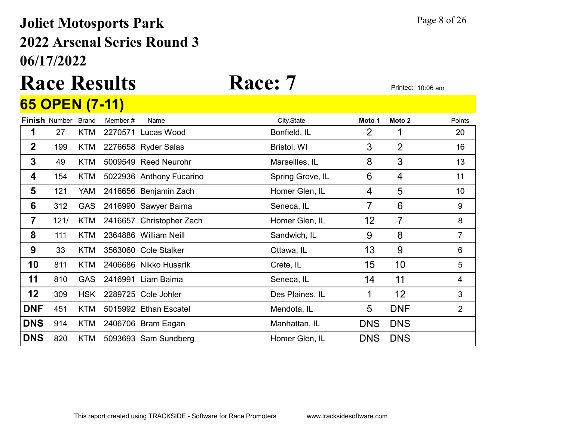### 06/17/2022 2022 Arsenal Series Round 3 Joliet Motosports Park Page 8 of 26

## Race Results Race: 7 Printed: 10:06 am 65 OPEN (7-11)

|                  | <b>Finish Number</b> | <b>Brand</b> | Member# | Name                     | City, State      | Moto 1     | Moto <sub>2</sub> | Points         |
|------------------|----------------------|--------------|---------|--------------------------|------------------|------------|-------------------|----------------|
| 1                | 27                   | <b>KTM</b>   |         | 2270571 Lucas Wood       | Bonfield, IL     | 2          |                   | 20             |
| $\boldsymbol{2}$ | 199                  | KTM          |         | 2276658 Ryder Salas      | Bristol, WI      | 3          | $\overline{2}$    | 16             |
| 3                | 49                   | <b>KTM</b>   |         | 5009549 Reed Neurohr     | Marseilles, IL   | 8          | 3                 | 13             |
| 4                | 154                  | KTM          |         | 5022936 Anthony Fucarino | Spring Grove, IL | 6          | 4                 | 11             |
| 5                | 121                  | YAM          |         | 2416656 Benjamin Zach    | Homer Glen, IL   | 4          | 5                 | 10             |
| 6                | 312                  | <b>GAS</b>   |         | 2416990 Sawyer Baima     | Seneca, IL       | 7          | $6\phantom{1}6$   | 9              |
| $\overline{7}$   | 121/                 | KTM          |         | 2416657 Christopher Zach | Homer Glen, IL   | 12         | 7                 | 8              |
| 8                | 111                  | KTM          |         | 2364886 William Neill    | Sandwich, IL     | 9          | 8                 | $\overline{7}$ |
| 9                | 33                   | <b>KTM</b>   |         | 3563060 Cole Stalker     | Ottawa, IL       | 13         | 9                 | 6              |
| 10               | 811                  | KTM          |         | 2406686 Nikko Husarik    | Crete, IL        | 15         | 10                | 5              |
| 11               | 810                  | <b>GAS</b>   |         | 2416991 Liam Baima       | Seneca, IL       | 14         | 11                | 4              |
| 12               | 309                  | <b>HSK</b>   |         | 2289725 Cole Johler      | Des Plaines, IL  | 1          | 12                | 3              |
| <b>DNF</b>       | 451                  | <b>KTM</b>   |         | 5015992 Ethan Escatel    | Mendota, IL      | 5          | <b>DNF</b>        | $\overline{2}$ |
| <b>DNS</b>       | 914                  | <b>KTM</b>   |         | 2406706 Bram Eagan       | Manhattan, IL    | <b>DNS</b> | <b>DNS</b>        |                |
| <b>DNS</b>       | 820                  | <b>KTM</b>   |         | 5093693 Sam Sundberg     | Homer Glen, IL   | <b>DNS</b> | <b>DNS</b>        |                |
|                  |                      |              |         |                          |                  |            |                   |                |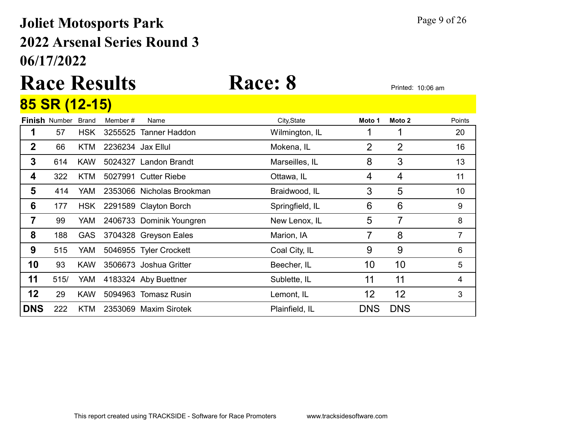### 06/17/2022 2022 Arsenal Series Round 3 Joliet Motosports Park Page 9 of 26

# Race Results Race: 8 Printed: 10:06 am

### **Finish** Number Brand Member # Name **City,State Moto 1 Moto 2** Points 85 SR (12-15) 1 57 HSK 3255525 Tanner Haddon Wilmington, IL 1 1 1 20 **2** 66 KTM 2236234 Jax Ellul Mokena, IL 2 2 2 16 **3** 614 KAW 5024327 Landon Brandt Marseilles, IL 8 3 3 13 **4** 322 KTM 5027991 Cutter Riebe **Cultation Coltawa, IL** 4 4 4 11 5 414 YAM 2353066 Nicholas Brookman Braidwood, IL 3 5 5 10 **6** 177 HSK 2291589 Clayton Borch Springfield, IL 6 6 6 9 **7** 99 YAM 2406733 Dominik Youngren New Lenox, IL 5 7 8 8 188 GAS 3704328 Greyson Eales Marion, IA 7 8 7 **9** 515 YAM 5046955 Tyler Crockett Coal City, IL 6 9 9 6 10 93 KAW 3506673 Joshua Gritter Beecher, IL 10 10 5 11 515/ YAM 4183324 Aby Buettner Sublette, IL 11 11 11 4 **12** 29 KAW 5094963 Tomasz Rusin **Lemont, IL** 12 12 3 **DNS** 222 KTM 2353069 Maxim Sirotek Plainfield, IL DNS DNS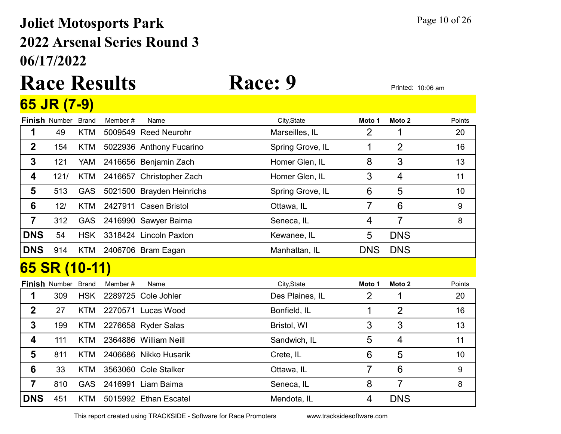## 06/17/2022 2022 Arsenal Series Round 3 Joliet Motosports Park Page 10 of 26

## Race Results Race: 9 Printed: 10:06 am 65 JR (7-9)

|                 | <b>Finish Number</b> | <b>Brand</b> | Member# | Name                      | City, State      | Moto 1         | Moto <sub>2</sub> | Points           |
|-----------------|----------------------|--------------|---------|---------------------------|------------------|----------------|-------------------|------------------|
| 1               | 49                   | <b>KTM</b>   |         | 5009549 Reed Neurohr      | Marseilles, IL   | 2              |                   | 20               |
| $\mathbf 2$     | 154                  | <b>KTM</b>   |         | 5022936 Anthony Fucarino  | Spring Grove, IL | 1              | $\overline{2}$    | 16               |
| $\mathbf 3$     | 121                  | YAM          |         | 2416656 Benjamin Zach     | Homer Glen, IL   | 8              | 3                 | 13               |
| 4               | 121/                 | <b>KTM</b>   |         | 2416657 Christopher Zach  | Homer Glen, IL   | 3              | $\overline{4}$    | 11               |
| 5               | 513                  | <b>GAS</b>   |         | 5021500 Brayden Heinrichs | Spring Grove, IL | 6              | 5                 | 10               |
| $6\phantom{1}6$ | 12/                  | <b>KTM</b>   |         | 2427911 Casen Bristol     | Ottawa, IL       | $\overline{7}$ | 6                 | 9                |
| $\overline{7}$  | 312                  | <b>GAS</b>   |         | 2416990 Sawyer Baima      | Seneca, IL       | 4              | $\overline{7}$    | 8                |
| <b>DNS</b>      | 54                   | <b>HSK</b>   |         | 3318424 Lincoln Paxton    | Kewanee, IL      | 5              | <b>DNS</b>        |                  |
| <b>DNS</b>      | 914                  |              |         | KTM 2406706 Bram Eagan    | Manhattan, IL    | <b>DNS</b>     | <b>DNS</b>        |                  |
|                 | 65 SR (10-11)        |              |         |                           |                  |                |                   |                  |
|                 | <b>Finish Number</b> | <b>Brand</b> | Member# | Name                      | City, State      | Moto 1         | Moto <sub>2</sub> | Points           |
| 1               | 309                  | <b>HSK</b>   |         | 2289725 Cole Johler       | Des Plaines, IL  | $\overline{2}$ | 1                 | 20               |
| $\mathbf 2$     | 27                   | <b>KTM</b>   |         | 2270571 Lucas Wood        | Bonfield, IL     | 1              | $\overline{2}$    | 16               |
| $\mathbf 3$     | 199                  | <b>KTM</b>   |         | 2276658 Ryder Salas       | Bristol, WI      | 3              | 3                 | 13               |
| 4               | 111                  | <b>KTM</b>   |         | 2364886 William Neill     | Sandwich, IL     | 5              | 4                 | 11               |
| 5               | 811                  | <b>KTM</b>   |         | 2406686 Nikko Husarik     | Crete, IL        | 6              | 5                 | 10               |
| 6               | 33                   | KTM          |         | 3563060 Cole Stalker      | Ottawa, IL       | 7              | 6                 | $\boldsymbol{9}$ |
| $\overline{7}$  | 810                  | <b>GAS</b>   |         | 2416991 Liam Baima        | Seneca, IL       | 8              | $\overline{7}$    | 8                |
| <b>DNS</b>      | 451                  | KTM          |         | 5015992 Ethan Escatel     | Mendota, IL      | 4              | <b>DNS</b>        |                  |
|                 |                      |              |         |                           |                  |                |                   |                  |

This report created using TRACKSIDE - Software for Race Promoters www.tracksidesoftware.com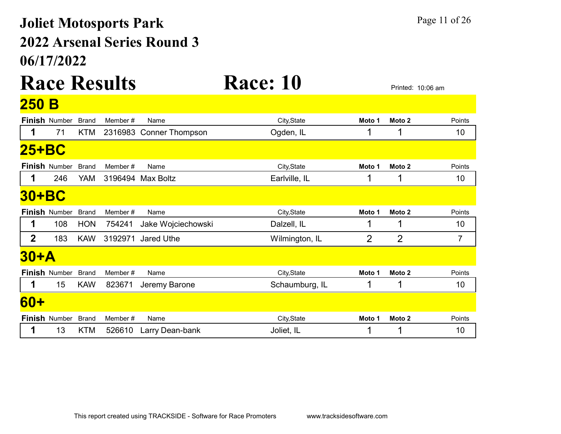## 06/17/2022 2022 Arsenal Series Round 3 Joliet Motosports Park Page 11 of 26

### Race Results Race: 10 **OFO** B

| <u>zju d</u>   |                      |              |         |                         |                |        |                   |        |
|----------------|----------------------|--------------|---------|-------------------------|----------------|--------|-------------------|--------|
|                | <b>Finish Number</b> | <b>Brand</b> | Member# | Name                    | City, State    | Moto 1 | Moto 2            | Points |
|                | 71                   | <b>KTM</b>   |         | 2316983 Conner Thompson | Ogden, IL      |        |                   | 10     |
| 25+BC          |                      |              |         |                         |                |        |                   |        |
|                | <b>Finish Number</b> | <b>Brand</b> | Member# | Name                    | City, State    | Moto 1 | Moto 2            | Points |
|                | 246                  | YAM          |         | 3196494 Max Boltz       | Earlville, IL  |        |                   | 10     |
| <b>30+BC</b>   |                      |              |         |                         |                |        |                   |        |
|                | <b>Finish Number</b> | <b>Brand</b> | Member# | Name                    | City, State    | Moto 1 | Moto <sub>2</sub> | Points |
| 1              | 108                  | <b>HON</b>   | 754241  | Jake Wojciechowski      | Dalzell, IL    |        |                   | 10     |
| $\overline{2}$ | 183                  | <b>KAW</b>   | 3192971 | Jared Uthe              | Wilmington, IL | 2      | $\overline{2}$    | 7      |
| $30+A$         |                      |              |         |                         |                |        |                   |        |
|                | <b>Finish Number</b> | <b>Brand</b> | Member# | Name                    | City, State    | Moto 1 | Moto 2            | Points |
|                | 15                   | <b>KAW</b>   | 823671  | Jeremy Barone           | Schaumburg, IL |        | 1                 | 10     |
| <b>60+</b>     |                      |              |         |                         |                |        |                   |        |
|                | <b>Finish Number</b> | <b>Brand</b> | Member# | Name                    | City, State    | Moto 1 | Moto 2            | Points |
|                | 13                   | KTM          | 526610  | Larry Dean-bank         | Joliet, IL     |        |                   | 10     |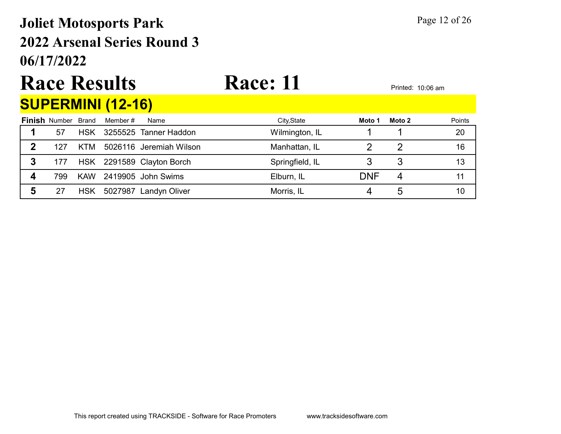## 06/17/2022 2022 Arsenal Series Round 3 Joliet Motosports Park Page 12 of 26

# Race Results Race: 11 Printed: 10:06 am

|  | <b>SUPERMINI (12-16)</b>                |                                                                        |  |
|--|-----------------------------------------|------------------------------------------------------------------------|--|
|  | <b>Finish</b> Number Brand Member# Name |                                                                        |  |
|  |                                         | $\begin{vmatrix} 1 & 57 & HSK & 3255525 & Tanner Haddon \end{vmatrix}$ |  |

|   | <b>Finish Number Brand</b> |            | Member # | Name                      | City, State     | Moto 1     | Moto 2 | Points |
|---|----------------------------|------------|----------|---------------------------|-----------------|------------|--------|--------|
|   | 57                         | <b>HSK</b> |          | 3255525 Tanner Haddon     | Wilmington, IL  |            |        | 20     |
| 2 | 127                        | KTM        |          | 5026116 Jeremiah Wilson   | Manhattan, IL   |            |        | 16     |
| 3 | 177                        |            |          | HSK 2291589 Clayton Borch | Springfield, IL |            |        |        |
|   | 799                        | <b>KAW</b> |          | 2419905 John Swims        | Elburn, IL      | <b>DNF</b> |        |        |
|   |                            | <b>HSK</b> |          | 5027987 Landyn Oliver     | Morris, IL      |            | b      | 10     |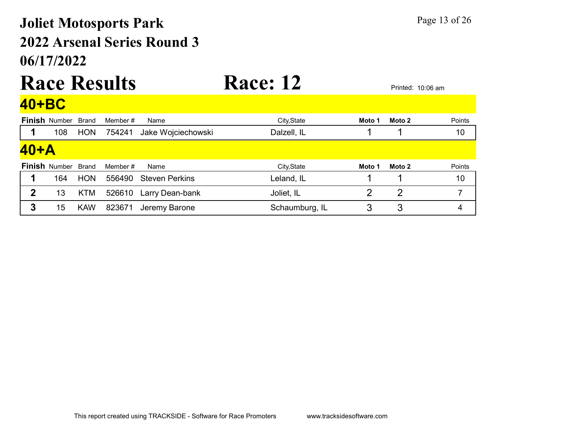## 06/17/2022 2022 Arsenal Series Round 3 Joliet Motosports Park Page 13 of 26

## Race Results Race: 12 Printed: 10:06 am 40+BC

|              | <b>Finish Number Brand</b> |            | Member # | Name                  | City, State    | Moto 1 | Moto 2 | Points |
|--------------|----------------------------|------------|----------|-----------------------|----------------|--------|--------|--------|
|              | 108                        | <b>HON</b> | 754241   | Jake Wojciechowski    | Dalzell, IL    |        |        | 10     |
| $40+A$       |                            |            |          |                       |                |        |        |        |
|              | <b>Finish Number Brand</b> |            | Member # | Name                  | City, State    | Moto 1 | Moto 2 | Points |
|              | 164                        | <b>HON</b> | 556490   | <b>Steven Perkins</b> | Leland, IL     |        |        | 10     |
| $\mathbf{2}$ | 13                         | <b>KTM</b> | 526610   | Larry Dean-bank       | Joliet, IL     |        | 2      |        |
| 3            | 15                         | <b>KAW</b> | 823671   | Jeremy Barone         | Schaumburg, IL | З      | 3      | 4      |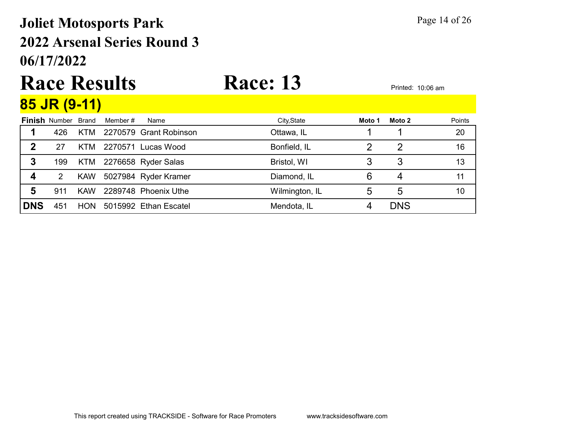## 06/17/2022 2022 Arsenal Series Round 3 Joliet Motosports Park Page 14 of 26

# Race Results Race: 13 Printed: 10:06 am

| 85 JR (9-11) |  |
|--------------|--|
|              |  |

|            | <b>Finish Number Brand</b> |            | Member # | Name                    | City, State    | Moto 1 | Moto 2     | Points |
|------------|----------------------------|------------|----------|-------------------------|----------------|--------|------------|--------|
|            | 426                        | KTM        |          | 2270579 Grant Robinson  | Ottawa, IL     |        |            | 20     |
| 2          | 27                         | KTM        |          | 2270571 Lucas Wood      | Bonfield, IL   |        |            | 16     |
| 3          | 199                        |            |          | KTM 2276658 Ryder Salas | Bristol, WI    |        | 3          | 13     |
| 4          | 2                          | <b>KAW</b> |          | 5027984 Ryder Kramer    | Diamond, IL    |        | 4          | 11     |
| 5          | 911                        | <b>KAW</b> |          | 2289748 Phoenix Uthe    | Wilmington, IL |        | 5          | 10     |
| <b>DNS</b> | 451                        | HON.       |          | 5015992 Ethan Escatel   | Mendota, IL    |        | <b>DNS</b> |        |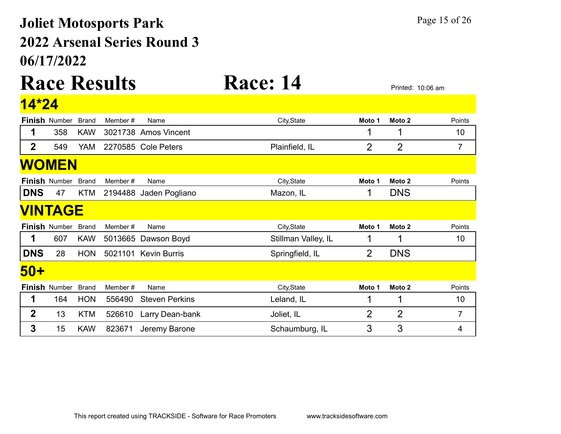## 06/17/2022 2022 Arsenal Series Round 3 Joliet Motosports Park Page 15 of 26

### Race Results Race: 14 Printed: 10:06 am  $14 \times 24$

| <u>4 Z4</u>  |                      |              |         |                        |                     |                |                   |                |
|--------------|----------------------|--------------|---------|------------------------|---------------------|----------------|-------------------|----------------|
|              | <b>Finish Number</b> | <b>Brand</b> | Member# | Name                   | City, State         | Moto 1         | Moto 2            | Points         |
| 1            | 358                  | <b>KAW</b>   |         | 3021738 Amos Vincent   |                     | 1              | 1                 | 10             |
| 2            | 549                  | <b>YAM</b>   |         | 2270585 Cole Peters    | Plainfield, IL      | 2              | $\overline{2}$    | 7              |
|              | <b>WOMEN</b>         |              |         |                        |                     |                |                   |                |
|              | <b>Finish Number</b> | <b>Brand</b> | Member# | Name                   | City, State         | Moto 1         | Moto <sub>2</sub> | Points         |
| <b>DNS</b>   | 47                   | <b>KTM</b>   |         | 2194488 Jaden Pogliano | Mazon, IL           | 1              | <b>DNS</b>        |                |
|              | <b>VINTAGE</b>       |              |         |                        |                     |                |                   |                |
|              | <b>Finish Number</b> | <b>Brand</b> | Member# | Name                   | City, State         | Moto 1         | Moto 2            | Points         |
|              | 607                  | <b>KAW</b>   | 5013665 | Dawson Boyd            | Stillman Valley, IL | 1              | 1                 | 10             |
| <b>DNS</b>   | 28                   | <b>HON</b>   |         | 5021101 Kevin Burris   | Springfield, IL     | $\overline{2}$ | <b>DNS</b>        |                |
| 50+          |                      |              |         |                        |                     |                |                   |                |
|              | Finish Number        | <b>Brand</b> | Member# | Name                   | City, State         | Moto 1         | Moto <sub>2</sub> | Points         |
|              | 164                  | <b>HON</b>   | 556490  | <b>Steven Perkins</b>  | Leland, IL          | 1              | 1                 | 10             |
| $\mathbf{2}$ | 13                   | <b>KTM</b>   | 526610  | Larry Dean-bank        | Joliet, IL          | $\overline{2}$ | $\overline{2}$    | $\overline{7}$ |
| 3            | 15                   | <b>KAW</b>   | 823671  | Jeremy Barone          | Schaumburg, IL      | 3              | 3                 | 4              |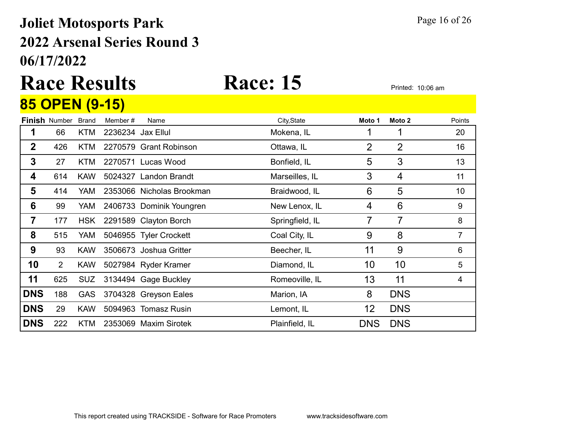### 06/17/2022 2022 Arsenal Series Round 3 Joliet Motosports Park Page 16 of 26

## Race Results Race: 15 Printed: 10:06 am 85 OPEN (9-15)

|                  | <b>Finish Number</b> | <b>Brand</b> | Member #          | Name                      | City, State     | Moto 1         | Moto 2         | Points |
|------------------|----------------------|--------------|-------------------|---------------------------|-----------------|----------------|----------------|--------|
| 1                | 66                   | <b>KTM</b>   | 2236234 Jax Ellul |                           | Mokena, IL      |                | 1              | 20     |
| $\mathbf{2}$     | 426                  | KTM          |                   | 2270579 Grant Robinson    | Ottawa, IL      | $\overline{2}$ | $\overline{2}$ | 16     |
| $\boldsymbol{3}$ | 27                   | <b>KTM</b>   |                   | 2270571 Lucas Wood        | Bonfield, IL    | 5              | 3              | 13     |
| 4                | 614                  | <b>KAW</b>   |                   | 5024327 Landon Brandt     | Marseilles, IL  | 3              | 4              | 11     |
| 5                | 414                  | YAM.         |                   | 2353066 Nicholas Brookman | Braidwood, IL   | 6              | 5              | 10     |
| 6                | 99                   | YAM          |                   | 2406733 Dominik Youngren  | New Lenox, IL   | 4              | 6              | 9      |
| 7                | 177                  | <b>HSK</b>   |                   | 2291589 Clayton Borch     | Springfield, IL | 7              | 7              | 8      |
| 8                | 515                  | YAM          |                   | 5046955 Tyler Crockett    | Coal City, IL   | 9              | 8              | 7      |
| 9                | 93                   | <b>KAW</b>   |                   | 3506673 Joshua Gritter    | Beecher, IL     | 11             | 9              | 6      |
| 10               | $\overline{2}$       | <b>KAW</b>   |                   | 5027984 Ryder Kramer      | Diamond, IL     | 10             | 10             | 5      |
| 11               | 625                  | <b>SUZ</b>   |                   | 3134494 Gage Buckley      | Romeoville, IL  | 13             | 11             | 4      |
| <b>DNS</b>       | 188                  | <b>GAS</b>   |                   | 3704328 Greyson Eales     | Marion, IA      | 8              | <b>DNS</b>     |        |
| <b>DNS</b>       | 29                   | <b>KAW</b>   |                   | 5094963 Tomasz Rusin      | Lemont, IL      | 12             | <b>DNS</b>     |        |
| <b>DNS</b>       | 222                  | <b>KTM</b>   |                   | 2353069 Maxim Sirotek     | Plainfield, IL  | <b>DNS</b>     | <b>DNS</b>     |        |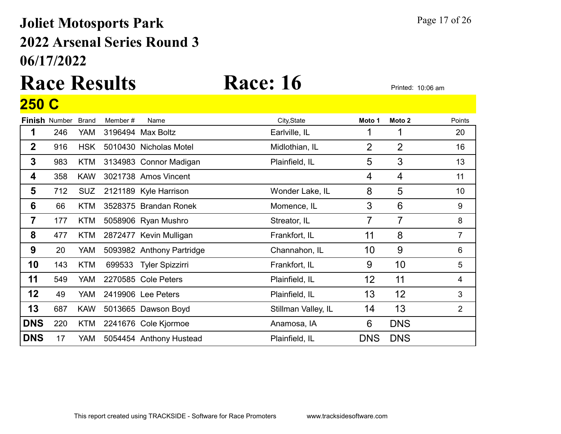## 06/17/2022 2022 Arsenal Series Round 3 Joliet Motosports Park Page 17 of 26

## Race Results Race: 16 Printed: 10:06 am 250 C

|                         | <b>Finish Number</b> | <b>Brand</b> | Member# | Name                      | City, State         | Moto 1     | Moto 2          | Points         |
|-------------------------|----------------------|--------------|---------|---------------------------|---------------------|------------|-----------------|----------------|
| 1                       | 246                  | YAM          |         | 3196494 Max Boltz         | Earlville, IL       |            |                 | 20             |
| $\mathbf 2$             | 916                  | <b>HSK</b>   |         | 5010430 Nicholas Motel    | Midlothian, IL      | 2          | 2               | 16             |
| $\mathbf{3}$            | 983                  | <b>KTM</b>   |         | 3134983 Connor Madigan    | Plainfield, IL      | 5          | 3               | 13             |
| 4                       | 358                  | <b>KAW</b>   |         | 3021738 Amos Vincent      |                     | 4          | 4               | 11             |
| 5                       | 712                  | <b>SUZ</b>   |         | 2121189 Kyle Harrison     | Wonder Lake, IL     | 8          | 5               | 10             |
| 6                       | 66                   | <b>KTM</b>   |         | 3528375 Brandan Ronek     | Momence, IL         | 3          | $6\phantom{1}6$ | 9              |
| $\overline{\mathbf{7}}$ | 177                  | <b>KTM</b>   |         | 5058906 Ryan Mushro       | Streator, IL        | 7          | $\overline{7}$  | 8              |
| 8                       | 477                  | KTM          |         | 2872477 Kevin Mulligan    | Frankfort, IL       | 11         | 8               | $\overline{7}$ |
| 9                       | 20                   | YAM          |         | 5093982 Anthony Partridge | Channahon, IL       | 10         | 9               | 6              |
| 10                      | 143                  | <b>KTM</b>   | 699533  | <b>Tyler Spizzirri</b>    | Frankfort, IL       | 9          | 10              | 5              |
| 11                      | 549                  | <b>YAM</b>   |         | 2270585 Cole Peters       | Plainfield, IL      | 12         | 11              | 4              |
| 12                      | 49                   | <b>YAM</b>   |         | 2419906 Lee Peters        | Plainfield, IL      | 13         | 12              | 3              |
| 13                      | 687                  | <b>KAW</b>   |         | 5013665 Dawson Boyd       | Stillman Valley, IL | 14         | 13              | $\overline{2}$ |
| <b>DNS</b>              | 220                  | KTM          |         | 2241676 Cole Kjormoe      | Anamosa, IA         | 6          | <b>DNS</b>      |                |
| <b>DNS</b>              | 17                   | YAM          |         | 5054454 Anthony Hustead   | Plainfield, IL      | <b>DNS</b> | <b>DNS</b>      |                |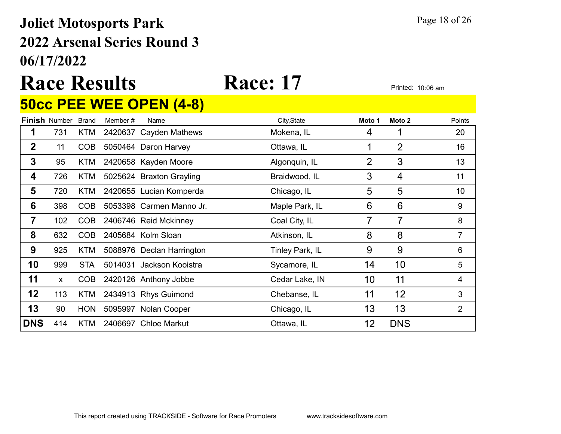## 06/17/2022 2022 Arsenal Series Round 3 Joliet Motosports Park Page 18 of 26

# Race Results Race: 17 Printed: 10:06 am

### 50cc PEE WEE OPEN (4-8)

|             | <b>Finish Number</b> | <b>Brand</b> | Member# | Name                      | City, State     | Moto 1         | Moto 2         | Points         |
|-------------|----------------------|--------------|---------|---------------------------|-----------------|----------------|----------------|----------------|
|             | 731                  | KTM          |         | 2420637 Cayden Mathews    | Mokena, IL      | 4              |                | 20             |
| $\mathbf 2$ | 11                   | <b>COB</b>   |         | 5050464 Daron Harvey      | Ottawa, IL      |                | $\overline{2}$ | 16             |
| 3           | 95                   | KTM          |         | 2420658 Kayden Moore      | Algonquin, IL   | $\overline{2}$ | 3              | 13             |
| 4           | 726                  | <b>KTM</b>   |         | 5025624 Braxton Grayling  | Braidwood, IL   | 3              | 4              | 11             |
| 5           | 720                  | KTM          |         | 2420655 Lucian Komperda   | Chicago, IL     | 5              | 5              | 10             |
| 6           | 398                  | COB          |         | 5053398 Carmen Manno Jr.  | Maple Park, IL  | 6              | 6              | 9              |
| 7           | 102                  | COB          |         | 2406746 Reid Mckinney     | Coal City, IL   | 7              | 7              | 8              |
| 8           | 632                  | <b>COB</b>   |         | 2405684 Kolm Sloan        | Atkinson, IL    | 8              | 8              | 7              |
| 9           | 925                  | KTM          |         | 5088976 Declan Harrington | Tinley Park, IL | 9              | 9              | 6              |
| 10          | 999                  | <b>STA</b>   |         | 5014031 Jackson Kooistra  | Sycamore, IL    | 14             | 10             | 5              |
| 11          | $\mathsf{x}$         | COB          |         | 2420126 Anthony Jobbe     | Cedar Lake, IN  | 10             | 11             | 4              |
| 12          | 113                  | KTM          |         | 2434913 Rhys Guimond      | Chebanse, IL    | 11             | 12             | 3              |
| 13          | 90                   | <b>HON</b>   |         | 5095997 Nolan Cooper      | Chicago, IL     | 13             | 13             | $\overline{2}$ |
| <b>DNS</b>  | 414                  | KTM          |         | 2406697 Chloe Markut      | Ottawa, IL      | 12             | <b>DNS</b>     |                |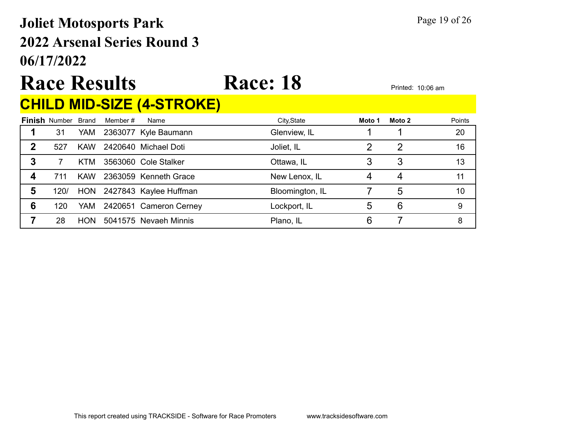## 06/17/2022 2022 Arsenal Series Round 3 Joliet Motosports Park Page 19 of 26

# Race Results Race: 18 Printed: 10:06 am

### CHILD MID-SIZE (4-STROKE)

|   | <b>Finish Number</b> | Brand      | Member # | Name                       | City, State     | Moto 1 | Moto 2 | Points |
|---|----------------------|------------|----------|----------------------------|-----------------|--------|--------|--------|
|   | 31                   | YAM        |          | 2363077 Kyle Baumann       | Glenview, IL    |        |        | 20     |
| 2 | 527                  | <b>KAW</b> |          | 2420640 Michael Doti       | Joliet, IL      |        | 2      | 16     |
| 3 |                      | KTM        |          | 3563060 Cole Stalker       | Ottawa, IL      |        | 3      | 13     |
|   | 711                  | <b>KAW</b> |          | 2363059 Kenneth Grace      | New Lenox, IL   |        | 4      | 11     |
| 5 | 120/                 |            |          | HON 2427843 Kaylee Huffman | Bloomington, IL |        | 5      | 10     |
| 6 | 120                  | <b>YAM</b> |          | 2420651 Cameron Cerney     | Lockport, IL    | 5      | 6      | 9      |
|   | 28                   | <b>HON</b> |          | 5041575 Nevaeh Minnis      | Plano, IL       | 6      |        | 8      |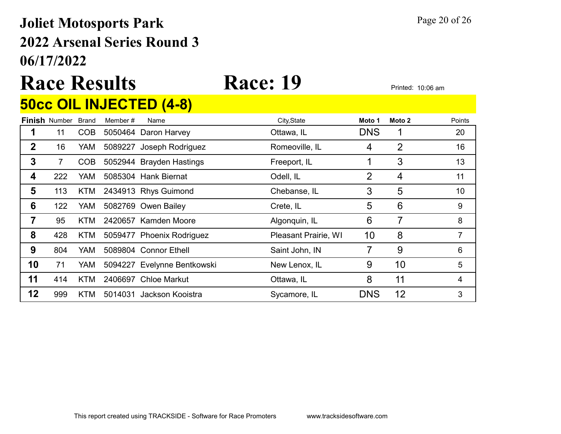### 06/17/2022 2022 Arsenal Series Round 3 Joliet Motosports Park Page 20 of 26

# Race Results Race: 19

### 50cc OIL INJECTED (4-8)

|    | <b>Finish Number</b> | Brand      | Member # | Name                        | City, State          | Moto 1     | Moto 2 | Points |
|----|----------------------|------------|----------|-----------------------------|----------------------|------------|--------|--------|
|    | 11                   | COB        |          | 5050464 Daron Harvey        | Ottawa, IL           | <b>DNS</b> |        | 20     |
| 2  | 16                   | YAM        |          | 5089227 Joseph Rodriguez    | Romeoville, IL       | 4          | 2      | 16     |
| 3  | 7                    | COB        |          | 5052944 Brayden Hastings    | Freeport, IL         |            | 3      | 13     |
| 4  | 222                  | YAM.       |          | 5085304 Hank Biernat        | Odell, IL            | 2          | 4      | 11     |
| 5  | 113                  | KTM        |          | 2434913 Rhys Guimond        | Chebanse, IL         | 3          | 5      | 10     |
| 6  | 122                  | YAM        |          | 5082769 Owen Bailey         | Crete, IL            | 5          | 6      | 9      |
|    | 95                   | <b>KTM</b> |          | 2420657 Kamden Moore        | Algonquin, IL        | 6          | 7      | 8      |
| 8  | 428                  | <b>KTM</b> |          | 5059477 Phoenix Rodriguez   | Pleasant Prairie, WI | 10         | 8      |        |
| 9  | 804                  | YAM.       |          | 5089804 Connor Ethell       | Saint John, IN       |            | 9      | 6      |
| 10 | 71                   | YAM        |          | 5094227 Evelynne Bentkowski | New Lenox, IL        | 9          | 10     | 5      |
| 11 | 414                  | <b>KTM</b> |          | 2406697 Chloe Markut        | Ottawa, IL           | 8          | 11     | 4      |
| 12 | 999                  | <b>KTM</b> | 5014031  | Jackson Kooistra            | Sycamore, IL         | <b>DNS</b> | 12     | 3      |
|    |                      |            |          |                             |                      |            |        |        |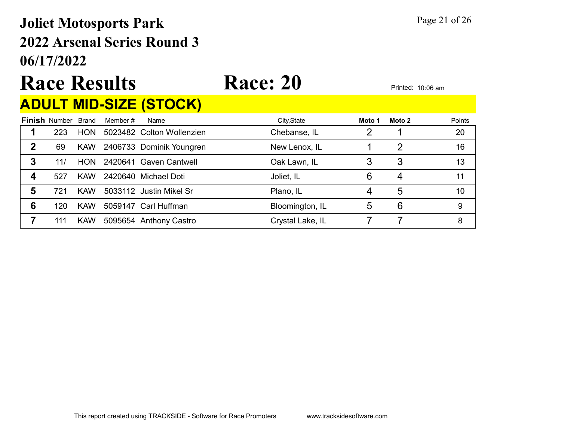## 06/17/2022 2022 Arsenal Series Round 3 Joliet Motosports Park Page 21 of 26

# Race Results Race: 20 Printed: 10:06 am

### ADULT MID-SIZE (STOCK)

|   | <b>Finish Number Brand</b> |            | Member # | Name                      | City, State      | Moto 1 | Moto 2 | Points |
|---|----------------------------|------------|----------|---------------------------|------------------|--------|--------|--------|
|   | 223                        | <b>HON</b> |          | 5023482 Colton Wollenzien | Chebanse, IL     |        |        | 20     |
| 2 | 69                         | <b>KAW</b> |          | 2406733 Dominik Youngren  | New Lenox, IL    |        | 2      | 16     |
| 3 | 11/                        | <b>HON</b> |          | 2420641 Gaven Cantwell    | Oak Lawn, IL     |        |        | 13     |
| Δ | 527                        | <b>KAW</b> |          | 2420640 Michael Doti      | Joliet, IL       | 6      | 4      | 11     |
| 5 | 721                        | <b>KAW</b> |          | 5033112 Justin Mikel Sr   | Plano, IL        |        | 5      | 10     |
| 6 | 120                        | <b>KAW</b> |          | 5059147 Carl Huffman      | Bloomington, IL  | 5      | 6      | 9      |
|   | 111                        | <b>KAW</b> |          | 5095654 Anthony Castro    | Crystal Lake, IL |        |        | 8      |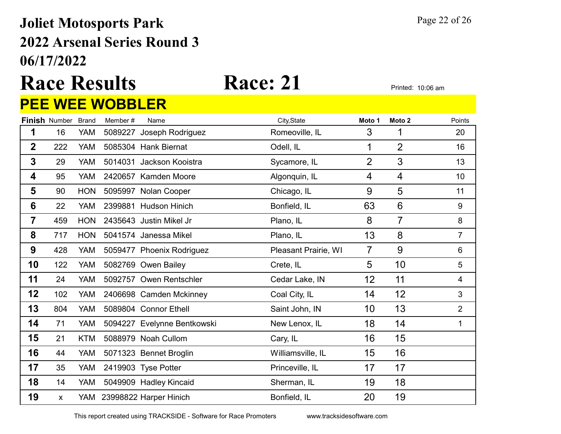### 06/17/2022 2022 Arsenal Series Round 3 Joliet Motosports Park Page 22 of 26

### Race Results Race: 21 Printed: 10:06 am PEE WEE WOBBLER

|                 |                      |              | <u>U U </u><br><u>VDDLLII</u> |                             |                      |                |                   |                  |
|-----------------|----------------------|--------------|-------------------------------|-----------------------------|----------------------|----------------|-------------------|------------------|
|                 | <b>Finish Number</b> | <b>Brand</b> | Member#                       | Name                        | City, State          | Moto 1         | Moto <sub>2</sub> | Points           |
| 1               | 16                   | <b>YAM</b>   | 5089227                       | Joseph Rodriguez            | Romeoville, IL       | 3              | 1                 | 20               |
| $\overline{2}$  | 222                  | <b>YAM</b>   |                               | 5085304 Hank Biernat        | Odell, IL            | 1              | $\overline{2}$    | 16               |
| $\mathbf{3}$    | 29                   | <b>YAM</b>   |                               | 5014031 Jackson Kooistra    | Sycamore, IL         | $\overline{2}$ | 3                 | 13               |
| 4               | 95                   | <b>YAM</b>   |                               | 2420657 Kamden Moore        | Algonquin, IL        | 4              | 4                 | 10               |
| 5               | 90                   | <b>HON</b>   |                               | 5095997 Nolan Cooper        | Chicago, IL          | 9              | 5                 | 11               |
| $6\phantom{1}6$ | 22                   | <b>YAM</b>   |                               | 2399881 Hudson Hinich       | Bonfield, IL         | 63             | 6                 | $\boldsymbol{9}$ |
| $\overline{7}$  | 459                  | <b>HON</b>   |                               | 2435643 Justin Mikel Jr     | Plano, IL            | 8              | $\overline{7}$    | $\,8\,$          |
| 8               | 717                  | <b>HON</b>   |                               | 5041574 Janessa Mikel       | Plano, IL            | 13             | 8                 | $\overline{7}$   |
| 9               | 428                  | <b>YAM</b>   |                               | 5059477 Phoenix Rodriguez   | Pleasant Prairie, WI | $\overline{7}$ | 9                 | 6                |
| 10              | 122                  | YAM          |                               | 5082769 Owen Bailey         | Crete, IL            | 5              | 10                | 5                |
| 11              | 24                   | YAM          |                               | 5092757 Owen Rentschler     | Cedar Lake, IN       | 12             | 11                | 4                |
| 12              | 102                  | <b>YAM</b>   |                               | 2406698 Camden Mckinney     | Coal City, IL        | 14             | 12                | 3                |
| 13              | 804                  | <b>YAM</b>   |                               | 5089804 Connor Ethell       | Saint John, IN       | 10             | 13                | $\overline{2}$   |
| 14              | 71                   | YAM          |                               | 5094227 Evelynne Bentkowski | New Lenox, IL        | 18             | 14                | 1                |
| 15              | 21                   | <b>KTM</b>   |                               | 5088979 Noah Cullom         | Cary, IL             | 16             | 15                |                  |
| 16              | 44                   | <b>YAM</b>   |                               | 5071323 Bennet Broglin      | Williamsville, IL    | 15             | 16                |                  |
| 17              | 35                   | <b>YAM</b>   |                               | 2419903 Tyse Potter         | Princeville, IL      | 17             | 17                |                  |
| 18              | 14                   | <b>YAM</b>   |                               | 5049909 Hadley Kincaid      | Sherman, IL          | 19             | 18                |                  |
| 19              | $\pmb{\mathsf{X}}$   |              |                               | YAM 23998822 Harper Hinich  | Bonfield, IL         | 20             | 19                |                  |
|                 |                      |              |                               |                             |                      |                |                   |                  |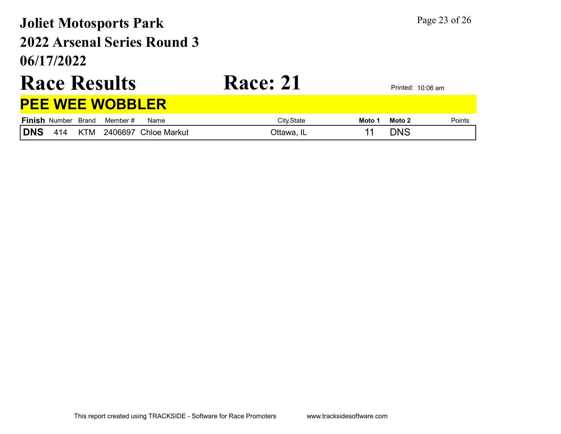## 06/17/2022 2022 Arsenal Series Round 3 Joliet Motosports Park Page 23 of 26

# Race Results Race: 21 Printed: 10:06 am

### PEE WEE WOBBLER

|     | <b>Finish Number Brand</b> |            | Member # | Name                 | Citv.State | Moto 1 | Moto 2 | Points |
|-----|----------------------------|------------|----------|----------------------|------------|--------|--------|--------|
| DNS | $\Delta 1\Delta$           | <b>KTM</b> |          | 2406697 Chloe Markut | )ttawa.    |        | DN.S   |        |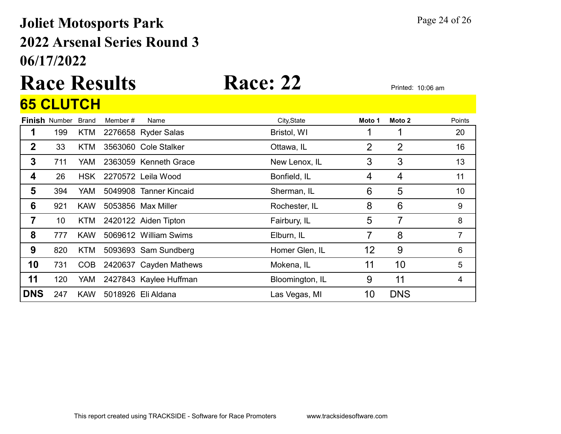### 06/17/2022 2022 Arsenal Series Round 3 Joliet Motosports Park Page 24 of 26

# Race Results Race: 22 Printed: 10:06 am

### **Finish** Number Brand Member # Name **City,State Moto 1 Moto 2** Points 65 CLUTCH 1 199 KTM 2276658 Ryder Salas Bristol, WI 1 1 1 20 **2** 33 KTM 3563060 Cole Stalker **COLECT COLECT COLECT 16** Ottawa, IL 2 2 2 16 3 711 YAM 2363059 Kenneth Grace New Lenox, IL 3 3 3 13 **4** 26 HSK 2270572 Leila Wood Bonfield, IL 4 4 4 11 **5** 394 YAM 5049908 Tanner Kincaid Sherman, IL 6 5 5 10  $\overline{6}$  921 KAW 5053856 Max Miller Rochester, IL  $\overline{8}$  6 6 9 **7** 10 KTM 2420122 Aiden Tipton **Fairbury, IL** 5 7 8

8 777 KAW 5069612 William Swims Elburn, IL 7 8 7

**9** 820 KTM 5093693 Sam Sundberg Homer Glen, IL 12 9 6

**10** 731 COB 2420637 Cayden Mathews Mokena, IL 11 10 5

11 120 YAM 2427843 Kaylee Huffman Bloomington, IL 9 11 4

**DNS** 247 KAW 5018926 Eli Aldana Las Vegas, MI 10 DNS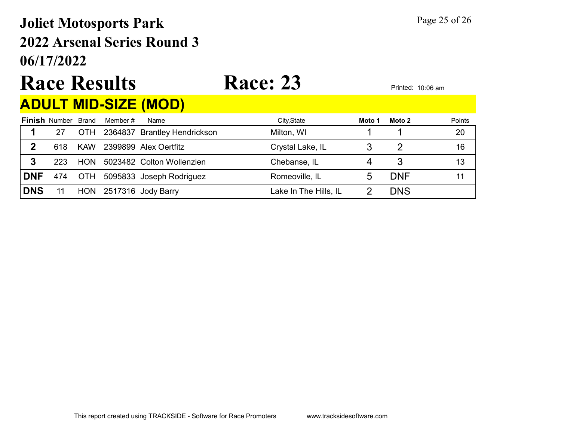## 06/17/2022 2022 Arsenal Series Round 3 Joliet Motosports Park Page 25 of 26

# Race Results Race: 23 Printed: 10:06 am

### ADULT MID-SIZE (MOD)

|            | <b>Finish Number Brand</b> |            | Member # | Name                             | City, State           | Moto 1 | Moto 2     | Points |
|------------|----------------------------|------------|----------|----------------------------------|-----------------------|--------|------------|--------|
|            | 27                         |            |          | OTH 2364837 Brantley Hendrickson | Milton, WI            |        |            | 20     |
| 2          | 618                        | <b>KAW</b> |          | 2399899 Alex Oertfitz            | Crystal Lake, IL      |        |            | 16     |
| 3          | 223                        | <b>HON</b> |          | 5023482 Colton Wollenzien        | Chebanse, IL          |        |            | 13     |
| <b>DNF</b> | 474                        |            |          | OTH 5095833 Joseph Rodriguez     | Romeoville, IL        |        | <b>DNF</b> |        |
| <b>DNS</b> |                            |            |          | HON 2517316 Jody Barry           | Lake In The Hills, IL |        | <b>DNS</b> |        |